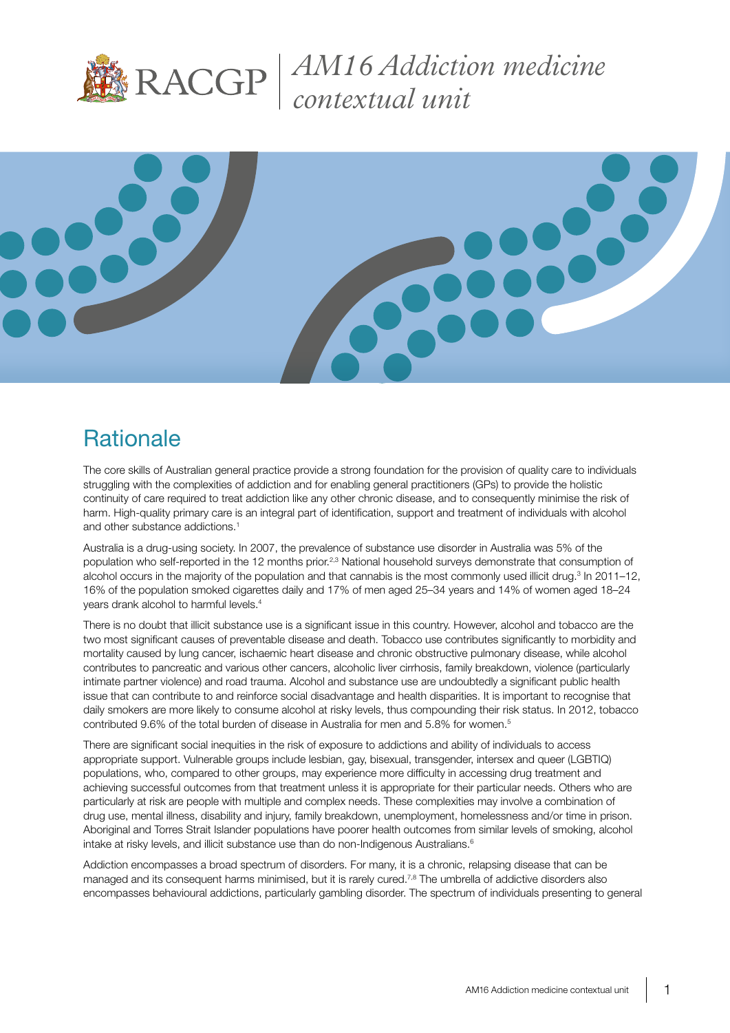

*AM16 Addiction medicine contextual unit*



### **Rationale**

The core skills of Australian general practice provide a strong foundation for the provision of quality care to individuals struggling with the complexities of addiction and for enabling general practitioners (GPs) to provide the holistic continuity of care required to treat addiction like any other chronic disease, and to consequently minimise the risk of harm. High-quality primary care is an integral part of identification, support and treatment of individuals with alcohol and other substance addictions.<sup>1</sup>

Australia is a drug-using society. In 2007, the prevalence of substance use disorder in Australia was 5% of the population who self-reported in the 12 months prior.<sup>2,3</sup> National household surveys demonstrate that consumption of alcohol occurs in the majority of the population and that cannabis is the most commonly used illicit drug.<sup>3</sup> In 2011–12, 16% of the population smoked cigarettes daily and 17% of men aged 25–34 years and 14% of women aged 18–24 years drank alcohol to harmful levels.4

There is no doubt that illicit substance use is a significant issue in this country. However, alcohol and tobacco are the two most significant causes of preventable disease and death. Tobacco use contributes significantly to morbidity and mortality caused by lung cancer, ischaemic heart disease and chronic obstructive pulmonary disease, while alcohol contributes to pancreatic and various other cancers, alcoholic liver cirrhosis, family breakdown, violence (particularly intimate partner violence) and road trauma. Alcohol and substance use are undoubtedly a significant public health issue that can contribute to and reinforce social disadvantage and health disparities. It is important to recognise that daily smokers are more likely to consume alcohol at risky levels, thus compounding their risk status. In 2012, tobacco contributed 9.6% of the total burden of disease in Australia for men and 5.8% for women.5

There are significant social inequities in the risk of exposure to addictions and ability of individuals to access appropriate support. Vulnerable groups include lesbian, gay, bisexual, transgender, intersex and queer (LGBTIQ) populations, who, compared to other groups, may experience more difficulty in accessing drug treatment and achieving successful outcomes from that treatment unless it is appropriate for their particular needs. Others who are particularly at risk are people with multiple and complex needs. These complexities may involve a combination of drug use, mental illness, disability and injury, family breakdown, unemployment, homelessness and/or time in prison. Aboriginal and Torres Strait Islander populations have poorer health outcomes from similar levels of smoking, alcohol intake at risky levels, and illicit substance use than do non-Indigenous Australians.<sup>6</sup>

Addiction encompasses a broad spectrum of disorders. For many, it is a chronic, relapsing disease that can be managed and its consequent harms minimised, but it is rarely cured.<sup>7,8</sup> The umbrella of addictive disorders also encompasses behavioural addictions, particularly gambling disorder. The spectrum of individuals presenting to general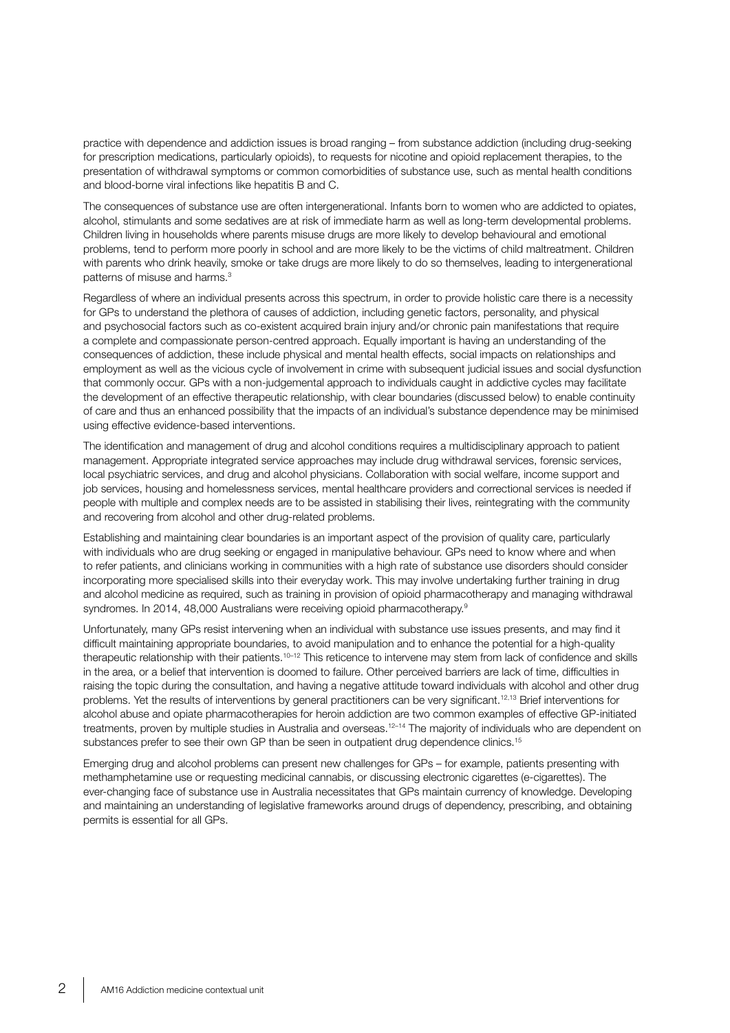practice with dependence and addiction issues is broad ranging – from substance addiction (including drug-seeking for prescription medications, particularly opioids), to requests for nicotine and opioid replacement therapies, to the presentation of withdrawal symptoms or common comorbidities of substance use, such as mental health conditions and blood-borne viral infections like hepatitis B and C.

The consequences of substance use are often intergenerational. Infants born to women who are addicted to opiates, alcohol, stimulants and some sedatives are at risk of immediate harm as well as long-term developmental problems. Children living in households where parents misuse drugs are more likely to develop behavioural and emotional problems, tend to perform more poorly in school and are more likely to be the victims of child maltreatment. Children with parents who drink heavily, smoke or take drugs are more likely to do so themselves, leading to intergenerational patterns of misuse and harms.<sup>3</sup>

Regardless of where an individual presents across this spectrum, in order to provide holistic care there is a necessity for GPs to understand the plethora of causes of addiction, including genetic factors, personality, and physical and psychosocial factors such as co-existent acquired brain injury and/or chronic pain manifestations that require a complete and compassionate person-centred approach. Equally important is having an understanding of the consequences of addiction, these include physical and mental health effects, social impacts on relationships and employment as well as the vicious cycle of involvement in crime with subsequent judicial issues and social dysfunction that commonly occur. GPs with a non-judgemental approach to individuals caught in addictive cycles may facilitate the development of an effective therapeutic relationship, with clear boundaries (discussed below) to enable continuity of care and thus an enhanced possibility that the impacts of an individual's substance dependence may be minimised using effective evidence-based interventions.

The identification and management of drug and alcohol conditions requires a multidisciplinary approach to patient management. Appropriate integrated service approaches may include drug withdrawal services, forensic services, local psychiatric services, and drug and alcohol physicians. Collaboration with social welfare, income support and job services, housing and homelessness services, mental healthcare providers and correctional services is needed if people with multiple and complex needs are to be assisted in stabilising their lives, reintegrating with the community and recovering from alcohol and other drug-related problems.

Establishing and maintaining clear boundaries is an important aspect of the provision of quality care, particularly with individuals who are drug seeking or engaged in manipulative behaviour. GPs need to know where and when to refer patients, and clinicians working in communities with a high rate of substance use disorders should consider incorporating more specialised skills into their everyday work. This may involve undertaking further training in drug and alcohol medicine as required, such as training in provision of opioid pharmacotherapy and managing withdrawal syndromes. In 2014, 48,000 Australians were receiving opioid pharmacotherapy.<sup>9</sup>

Unfortunately, many GPs resist intervening when an individual with substance use issues presents, and may find it difficult maintaining appropriate boundaries, to avoid manipulation and to enhance the potential for a high-quality therapeutic relationship with their patients.10–12 This reticence to intervene may stem from lack of confidence and skills in the area, or a belief that intervention is doomed to failure. Other perceived barriers are lack of time, difficulties in raising the topic during the consultation, and having a negative attitude toward individuals with alcohol and other drug problems. Yet the results of interventions by general practitioners can be very significant.<sup>12,13</sup> Brief interventions for alcohol abuse and opiate pharmacotherapies for heroin addiction are two common examples of effective GP-initiated treatments, proven by multiple studies in Australia and overseas.<sup>12-14</sup> The majority of individuals who are dependent on substances prefer to see their own GP than be seen in outpatient drug dependence clinics.<sup>15</sup>

Emerging drug and alcohol problems can present new challenges for GPs – for example, patients presenting with methamphetamine use or requesting medicinal cannabis, or discussing electronic cigarettes (e-cigarettes). The ever-changing face of substance use in Australia necessitates that GPs maintain currency of knowledge. Developing and maintaining an understanding of legislative frameworks around drugs of dependency, prescribing, and obtaining permits is essential for all GPs.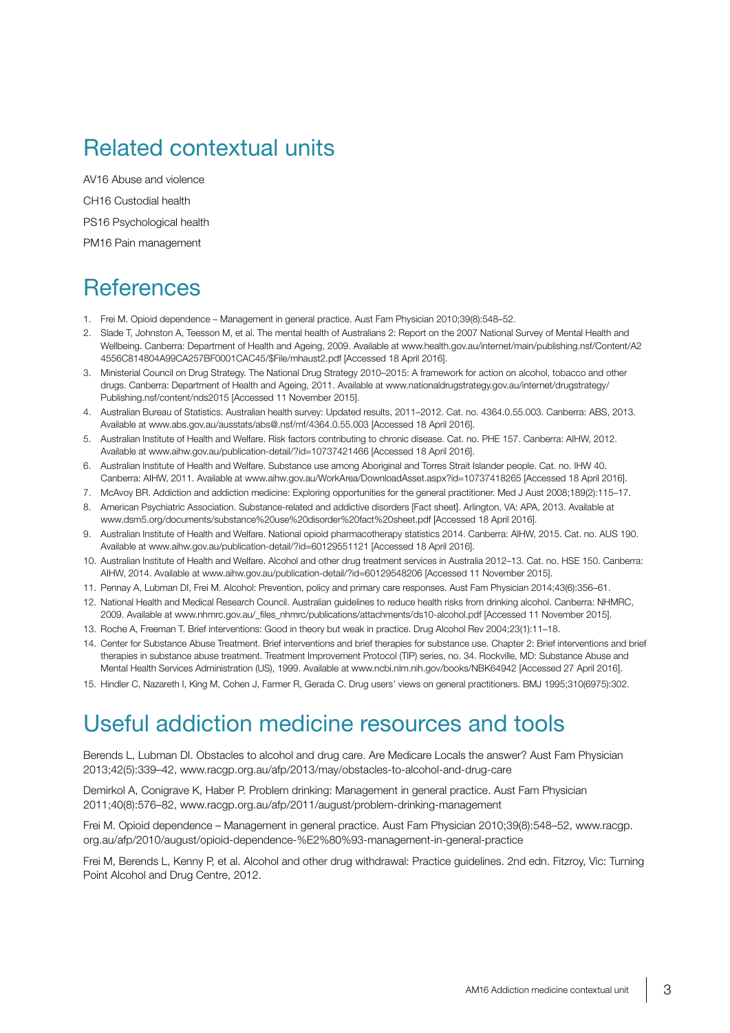# Related contextual units

AV16 Abuse and violence CH16 Custodial health PS16 Psychological health PM16 Pain management

#### **References**

- 1. Frei M. Opioid dependence Management in general practice. Aust Fam Physician 2010;39(8):548–52.
- 2. Slade T, Johnston A, Teesson M, et al. The mental health of Australians 2: Report on the 2007 National Survey of Mental Health and Wellbeing. Canberra: Department of Health and Ageing, 2009. Available at www.health.gov.au/internet/main/publishing.nsf/Content/A2 4556C814804A99CA257BF0001CAC45/\$File/mhaust2.pdf [Accessed 18 April 2016].
- 3. Ministerial Council on Drug Strategy. The National Drug Strategy 2010–2015: A framework for action on alcohol, tobacco and other drugs. Canberra: Department of Health and Ageing, 2011. Available at www.nationaldrugstrategy.gov.au/internet/drugstrategy/ Publishing.nsf/content/nds2015 [Accessed 11 November 2015].
- 4. Australian Bureau of Statistics. Australian health survey: Updated results, 2011–2012. Cat. no. 4364.0.55.003. Canberra: ABS, 2013. Available at www.abs.gov.au/ausstats/abs@.nsf/mf/4364.0.55.003 [Accessed 18 April 2016].
- 5. Australian Institute of Health and Welfare. Risk factors contributing to chronic disease. Cat. no. PHE 157. Canberra: AIHW, 2012. Available at www.aihw.gov.au/publication-detail/?id=10737421466 [Accessed 18 April 2016].
- 6. Australian Institute of Health and Welfare. Substance use among Aboriginal and Torres Strait Islander people. Cat. no. IHW 40. Canberra: AIHW, 2011. Available at www.aihw.gov.au/WorkArea/DownloadAsset.aspx?id=10737418265 [Accessed 18 April 2016].
- 7. McAvoy BR. Addiction and addiction medicine: Exploring opportunities for the general practitioner. Med J Aust 2008;189(2):115–17.
- 8. American Psychiatric Association. Substance-related and addictive disorders [Fact sheet]. Arlington, VA: APA, 2013. Available at www.dsm5.org/documents/substance%20use%20disorder%20fact%20sheet.pdf [Accessed 18 April 2016].
- 9. Australian Institute of Health and Welfare. National opioid pharmacotherapy statistics 2014. Canberra: AIHW, 2015. Cat. no. AUS 190. Available at www.aihw.gov.au/publication-detail/?id=60129551121 [Accessed 18 April 2016].
- 10. Australian Institute of Health and Welfare. Alcohol and other drug treatment services in Australia 2012–13. Cat. no. HSE 150. Canberra: AIHW, 2014. Available at www.aihw.gov.au/publication-detail/?id=60129548206 [Accessed 11 November 2015].
- 11. Pennay A, Lubman DI, Frei M. Alcohol: Prevention, policy and primary care responses. Aust Fam Physician 2014;43(6):356–61.
- 12. National Health and Medical Research Council. Australian guidelines to reduce health risks from drinking alcohol. Canberra: NHMRC, 2009. Available at www.nhmrc.gov.au/\_files\_nhmrc/publications/attachments/ds10-alcohol.pdf [Accessed 11 November 2015].
- 13. Roche A, Freeman T. Brief interventions: Good in theory but weak in practice. Drug Alcohol Rev 2004;23(1):11–18.
- 14. Center for Substance Abuse Treatment. Brief interventions and brief therapies for substance use. Chapter 2: Brief interventions and brief therapies in substance abuse treatment. Treatment Improvement Protocol (TIP) series, no. 34. Rockville, MD: Substance Abuse and Mental Health Services Administration (US), 1999. Available at www.ncbi.nlm.nih.gov/books/NBK64942 [Accessed 27 April 2016].
- 15. Hindler C, Nazareth I, King M, Cohen J, Farmer R, Gerada C. Drug users' views on general practitioners. BMJ 1995;310(6975):302.

#### Useful addiction medicine resources and tools

Berends L, Lubman DI. Obstacles to alcohol and drug care. Are Medicare Locals the answer? Aust Fam Physician 2013;42(5):339–42, www.racgp.org.au/afp/2013/may/obstacles-to-alcohol-and-drug-care

Demirkol A, Conigrave K, Haber P. Problem drinking: Management in general practice. Aust Fam Physician 2011;40(8):576–82, www.racgp.org.au/afp/2011/august/problem-drinking-management

Frei M. Opioid dependence – Management in general practice. Aust Fam Physician 2010;39(8):548–52, www.racgp. org.au/afp/2010/august/opioid-dependence-%E2%80%93-management-in-general-practice

Frei M, Berends L, Kenny P, et al. Alcohol and other drug withdrawal: Practice guidelines. 2nd edn. Fitzroy, Vic: Turning Point Alcohol and Drug Centre, 2012.